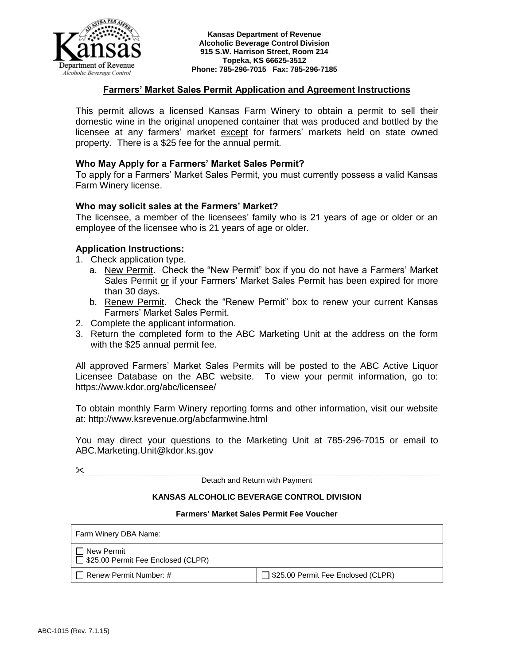

**Kansas Department of Revenue Alcoholic Beverage Control Division 915 S.W. Harrison Street, Room 214 Topeka, KS 66625-3512 Phone: 785-296-7015 Fax: 785-296-7185** 

## **Farmers' Market Sales Permit Application and Agreement Instructions**

This permit allows a licensed Kansas Farm Winery to obtain a permit to sell their domestic wine in the original unopened container that was produced and bottled by the licensee at any farmers' market except for farmers' markets held on state owned property. There is a \$25 fee for the annual permit.

## **Who May Apply for a Farmers' Market Sales Permit?**

To apply for a Farmers' Market Sales Permit, you must currently possess a valid Kansas Farm Winery license.

## **Who may solicit sales at the Farmers' Market?**

The licensee, a member of the licensees' family who is 21 years of age or older or an employee of the licensee who is 21 years of age or older.

## **Application Instructions:**

- 1. Check application type.
	- a. New Permit. Check the "New Permit" box if you do not have a Farmers' Market Sales Permit or if your Farmers' Market Sales Permit has been expired for more than 30 days.
	- b. Renew Permit. Check the "Renew Permit" box to renew your current Kansas Farmers' Market Sales Permit.
- 2. Complete the applicant information.
- 3. Return the completed form to the ABC Marketing Unit at the address on the form with the \$25 annual permit fee.

All approved Farmers' Market Sales Permits will be posted to the ABC Active Liquor Licensee Database on the ABC website. To view your permit information, go to: <https://www.kdor.org/abc/licensee/>

To obtain monthly Farm Winery reporting forms and other information, visit our website at: http://www.ksrevenue.org/abcfarmwine.html

You may direct your questions to the Marketing Unit at 785-296-7015 or email to ABC.Marketing.Unit@kdor.ks.gov

 $\times$ 

Detach and Return with Payment

#### **KANSAS ALCOHOLIC BEVERAGE CONTROL DIVISION**

#### **Farmers' Market Sales Permit Fee Voucher**

| Farm Winery DBA Name:                              |                                           |  |
|----------------------------------------------------|-------------------------------------------|--|
| New Permit<br>□ \$25.00 Permit Fee Enclosed (CLPR) |                                           |  |
| Renew Permit Number: #                             | $\Box$ \$25.00 Permit Fee Enclosed (CLPR) |  |